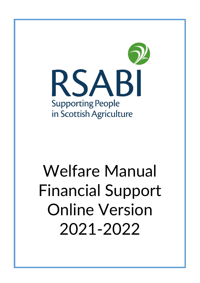

# Welfare Manual Financial Support Online Version 2021-2022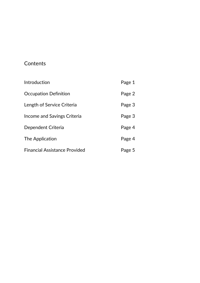# **Contents**

| Introduction                         | Page 1 |
|--------------------------------------|--------|
| Occupation Definition                | Page 2 |
| Length of Service Criteria           | Page 3 |
| Income and Savings Criteria          | Page 3 |
| Dependent Criteria                   | Page 4 |
| The Application                      | Page 4 |
| <b>Financial Assistance Provided</b> | Page 5 |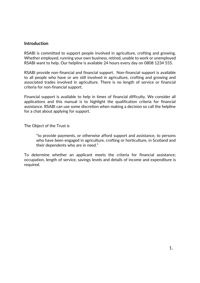#### **Introduction**

RSABI is committed to support people involved in agriculture, crofting and growing. Whether employed, running your own business, retired, unable to work or unemployed RSABI want to help. Our helpline is available 24 hours every day on 0808 1234 555.

RSABI provide non-financial and financial support. Non-financial support is available to all people who have or are still involved in agriculture, crofting and growing and associated trades involved in agriculture. There is no length of service or financial criteria for non-financial support.

Financial support is available to help in times of financial difficulty. We consider all applications and this manual is to highlight the qualification criteria for financial assistance. RSABI can use some discretion when making a decision so call the helpline for a chat about applying for support.

The Object of the Trust is

"to provide payments, or otherwise afford support and assistance, to persons who have been engaged in agriculture, crofting or horticulture, in Scotland and their dependents who are in need."

To determine whether an applicant meets the criteria for financial assistance; occupation, length of service, savings levels and details of income and expenditure is required.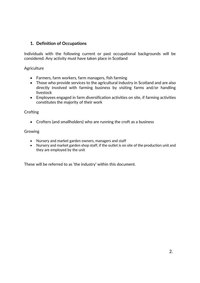## **1. Definition of Occupations**

Individuals with the following current or past occupational backgrounds will be considered. Any activity must have taken place in Scotland

**Agriculture** 

- Farmers, farm workers, farm managers, fish farming
- Those who provide services to the agricultural industry in Scotland and are also directly involved with farming business by visiting farms and/or handling livestock
- Employees engaged in farm diversification activities on site, if farming activities constitutes the majority of their work

**Crofting** 

• Crofters (and smallholders) who are running the croft as a business

Growing

- Nursery and market garden owners, managers and staff
- Nursery and market garden shop staff, if the outlet is on site of the production unit and they are employed by the unit

These will be referred to as 'the industry' within this document.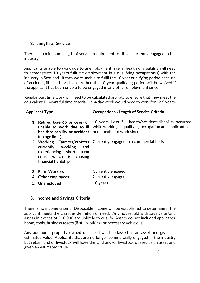# **2. Length of Service**

There is no minimum length of service requirement for those currently engaged in the industry.

Applicants unable to work due to unemployment, age, ill health or disability will need to demonstrate 10 years fulltime employment in a qualifying occupation(s) with the industry in Scotland. If they were unable to fulfil the 10 year qualifying period because of accident, ill health or disability then the 10 year qualifying period will be waived if the applicant has been unable to be engaged in any other employment since.

Regular part time work will need to be calculated pro rata to ensure that they meet the equivalent 10 years fulltime criteria. (i.e. 4 day week would need to work for 12.5 years)

| <b>Applicant Type</b>                                                                                                               | <b>Occupational/Length of Service Criteria</b>                                                                                                     |
|-------------------------------------------------------------------------------------------------------------------------------------|----------------------------------------------------------------------------------------------------------------------------------------------------|
| 1. Retired (age 65 or over) or<br>unable to work due to ill<br>health/disability or accident<br>(no age limit)                      | 10 years. Less if ill-health/accident/disability occurred<br>while working in qualifying occupation and applicant has<br>been unable to work since |
| 2. Working Farmers/crofters<br>currently working<br>and<br>experiencing short term<br>crisis which is causing<br>financial hardship | Currently engaged in a commercial basis                                                                                                            |
| 3. Farm Workers                                                                                                                     | Currently engaged                                                                                                                                  |
| 4. Other employees                                                                                                                  | Currently engaged                                                                                                                                  |
| 5. Unemployed                                                                                                                       | 10 years                                                                                                                                           |

#### **3. Income and Savings Criteria**

There is no income criteria. Disposable income will be established to determine if the applicant meets the charities definition of need. Any household with savings or/and assets in excess of £10,000 are unlikely to qualify. Assets do not included applicants' home, tools, business assets (if still working) or necessary vehicle (s).

Any additional property owned or leased will be classed as an asset and given an estimated value. Applicants that are no longer commercially engaged in the industry but retain land or livestock will have the land and/or livestock classed as an asset and given an estimated value.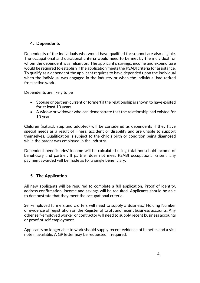# **4. Dependents**

Dependents of the individuals who would have qualified for support are also eligible. The occupational and durational criteria would need to be met by the individual for whom the dependent was reliant on. The applicant's savings, income and expenditure would be required to establish if the application meets the RSABI criteria for assistance. To qualify as a dependent the applicant requires to have depended upon the individual when the individual was engaged in the industry or when the individual had retired from active work.

Dependents are likely to be

- Spouse or partner (current or former) if the relationship is shown to have existed for at least 10 years
- A widow or widower who can demonstrate that the relationship had existed for 10 years

Children (natural, step and adopted) will be considered as dependents if they have special needs as a result of illness, accident or disability and are unable to support themselves. Qualification is subject to the child's birth or condition being diagnosed while the parent was employed in the industry.

Dependent beneficiaries' income will be calculated using total household income of beneficiary and partner. If partner does not meet RSABI occupational criteria any payment awarded will be made as for a single beneficiary.

# **5. The Application**

All new applicants will be required to complete a full application. Proof of identity, address confirmation, income and savings will be required. Applicants should be able to demonstrate that they meet the occupational criteria.

Self-employed farmers and crofters will need to supply a Business/ Holding Number or evidence of registration on the Register of Croft and recent business accounts. Any other self-employed worker or contractor will need to supply recent business accounts or proof of self employment.

Applicants no longer able to work should supply recent evidence of benefits and a sick note if available. A GP letter may be requested if required.